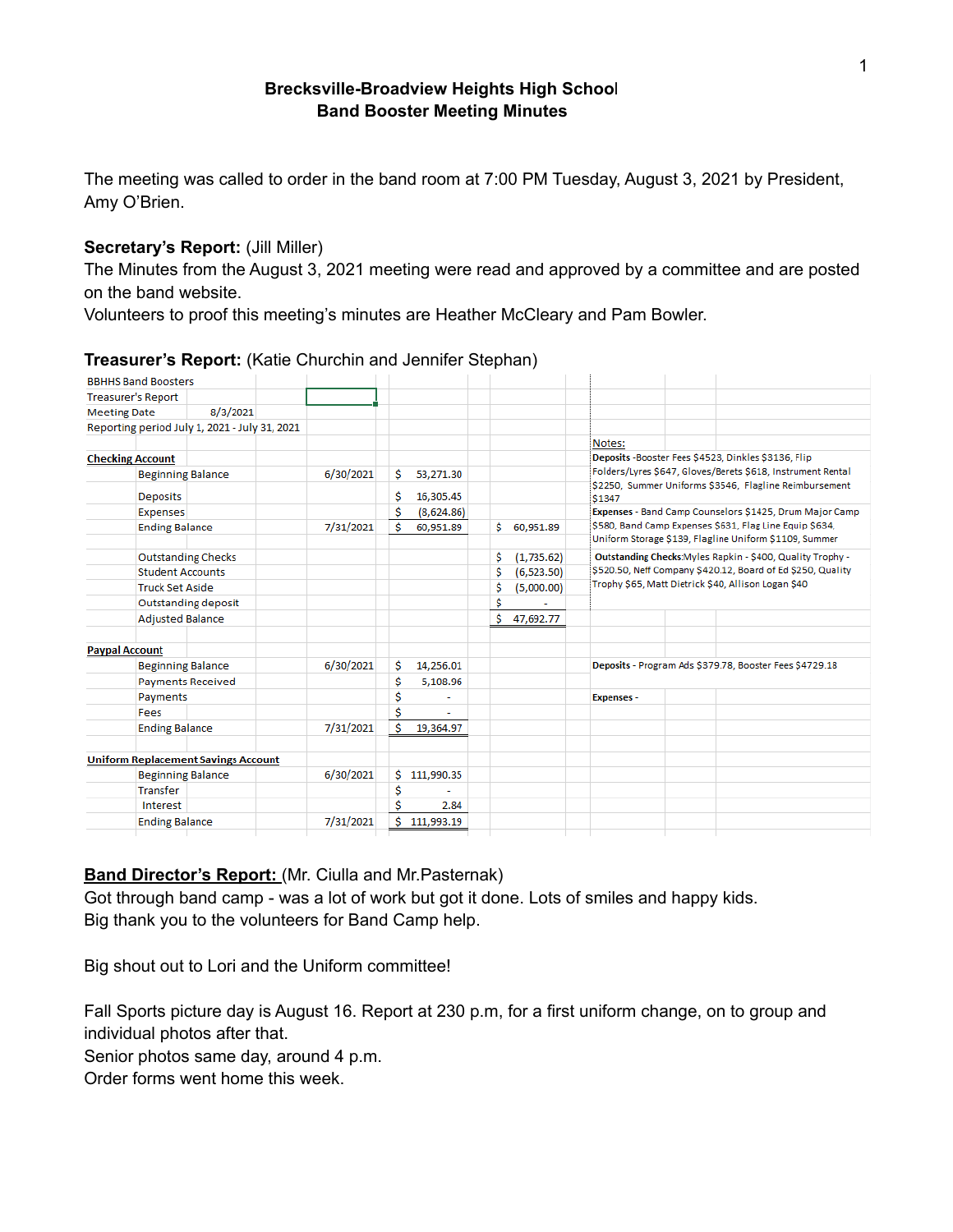### **Brecksville-Broadview Heights High Schoo**l **Band Booster Meeting Minutes**

The meeting was called to order in the band room at 7:00 PM Tuesday, August 3, 2021 by President, Amy O'Brien.

### **Secretary's Report:** (Jill Miller)

The Minutes from the August 3, 2021 meeting were read and approved by a committee and are posted on the band website.

Volunteers to proof this meeting's minutes are Heather McCleary and Pam Bowler.

| <b>BBHHS Band Boosters</b> |                                               |           |    |            |    |             |                                                                                                                                                                                        |  |                                                         |
|----------------------------|-----------------------------------------------|-----------|----|------------|----|-------------|----------------------------------------------------------------------------------------------------------------------------------------------------------------------------------------|--|---------------------------------------------------------|
| <b>Treasurer's Report</b>  |                                               |           |    |            |    |             |                                                                                                                                                                                        |  |                                                         |
| <b>Meeting Date</b>        | 8/3/2021                                      |           |    |            |    |             |                                                                                                                                                                                        |  |                                                         |
|                            | Reporting period July 1, 2021 - July 31, 2021 |           |    |            |    |             |                                                                                                                                                                                        |  |                                                         |
|                            |                                               |           |    |            |    |             | Notes:                                                                                                                                                                                 |  |                                                         |
| <b>Checking Account</b>    |                                               |           |    |            |    |             | Deposits -Booster Fees \$4523, Dinkles \$3136, Flip<br>Folders/Lyres \$647, Gloves/Berets \$618, Instrument Rental<br>\$2250, Summer Uniforms \$3546, Flagline Reimbursement<br>\$1347 |  |                                                         |
| <b>Beginning Balance</b>   |                                               | 6/30/2021 | Ŝ. | 53,271.30  |    |             |                                                                                                                                                                                        |  |                                                         |
| <b>Deposits</b>            |                                               |           | S  | 16,305.45  |    |             |                                                                                                                                                                                        |  |                                                         |
| Expenses                   |                                               |           | Ś  | (8,624.86) |    |             |                                                                                                                                                                                        |  | Expenses - Band Camp Counselors \$1425, Drum Major Camp |
| <b>Ending Balance</b>      |                                               | 7/31/2021 | Ś  | 60,951.89  | Ś. | 60,951.89   | \$580, Band Camp Expenses \$631, Flag Line Equip \$634,<br>Uniform Storage \$139, Flagline Uniform \$1109, Summer                                                                      |  |                                                         |
|                            | <b>Outstanding Checks</b>                     |           |    |            | Ś  | (1,735.62)  | Outstanding Checks: Myles Rapkin - \$400, Quality Trophy -                                                                                                                             |  |                                                         |
| <b>Student Accounts</b>    |                                               |           |    |            | Ś  | (6, 523.50) | \$520.50, Neff Company \$420.12, Board of Ed \$250, Quality<br>Trophy \$65, Matt Dietrick \$40, Allison Logan \$40                                                                     |  |                                                         |
| <b>Truck Set Aside</b>     |                                               |           |    |            | \$ | (5,000.00)  |                                                                                                                                                                                        |  |                                                         |
| <b>Outstanding deposit</b> |                                               |           |    |            | \$ |             |                                                                                                                                                                                        |  |                                                         |
| <b>Adjusted Balance</b>    |                                               |           |    |            | Ś  | 47,692.77   |                                                                                                                                                                                        |  |                                                         |
| <b>Paypal Account</b>      |                                               |           |    |            |    |             |                                                                                                                                                                                        |  |                                                         |
| <b>Beginning Balance</b>   |                                               | 6/30/2021 | Ś  | 14,256.01  |    |             | Deposits - Program Ads \$379.78, Booster Fees \$4729.18                                                                                                                                |  |                                                         |
| Payments Received          |                                               |           | Ś  | 5,108.96   |    |             |                                                                                                                                                                                        |  |                                                         |
| Payments                   |                                               |           | \$ |            |    |             | <b>Expenses -</b>                                                                                                                                                                      |  |                                                         |
| Fees                       |                                               |           | Ś  |            |    |             |                                                                                                                                                                                        |  |                                                         |
| <b>Ending Balance</b>      |                                               | 7/31/2021 | Ś  | 19,364.97  |    |             |                                                                                                                                                                                        |  |                                                         |
|                            | <b>Uniform Replacement Savings Account</b>    |           |    |            |    |             |                                                                                                                                                                                        |  |                                                         |
| <b>Beginning Balance</b>   |                                               | 6/30/2021 | Ś  | 111,990.35 |    |             |                                                                                                                                                                                        |  |                                                         |
| <b>Transfer</b>            |                                               |           | Ś  |            |    |             |                                                                                                                                                                                        |  |                                                         |
| Interest                   |                                               |           | Ś  | 2.84       |    |             |                                                                                                                                                                                        |  |                                                         |
| <b>Ending Balance</b>      |                                               | 7/31/2021 | Ś. | 111,993.19 |    |             |                                                                                                                                                                                        |  |                                                         |
|                            |                                               |           |    |            |    |             |                                                                                                                                                                                        |  |                                                         |

#### **Treasurer's Report:** (Katie Churchin and Jennifer Stephan)

## **Band Director's Report:** (Mr. Ciulla and Mr.Pasternak)

Got through band camp - was a lot of work but got it done. Lots of smiles and happy kids. Big thank you to the volunteers for Band Camp help.

Big shout out to Lori and the Uniform committee!

Fall Sports picture day is August 16. Report at 230 p.m, for a first uniform change, on to group and individual photos after that.

Senior photos same day, around 4 p.m.

Order forms went home this week.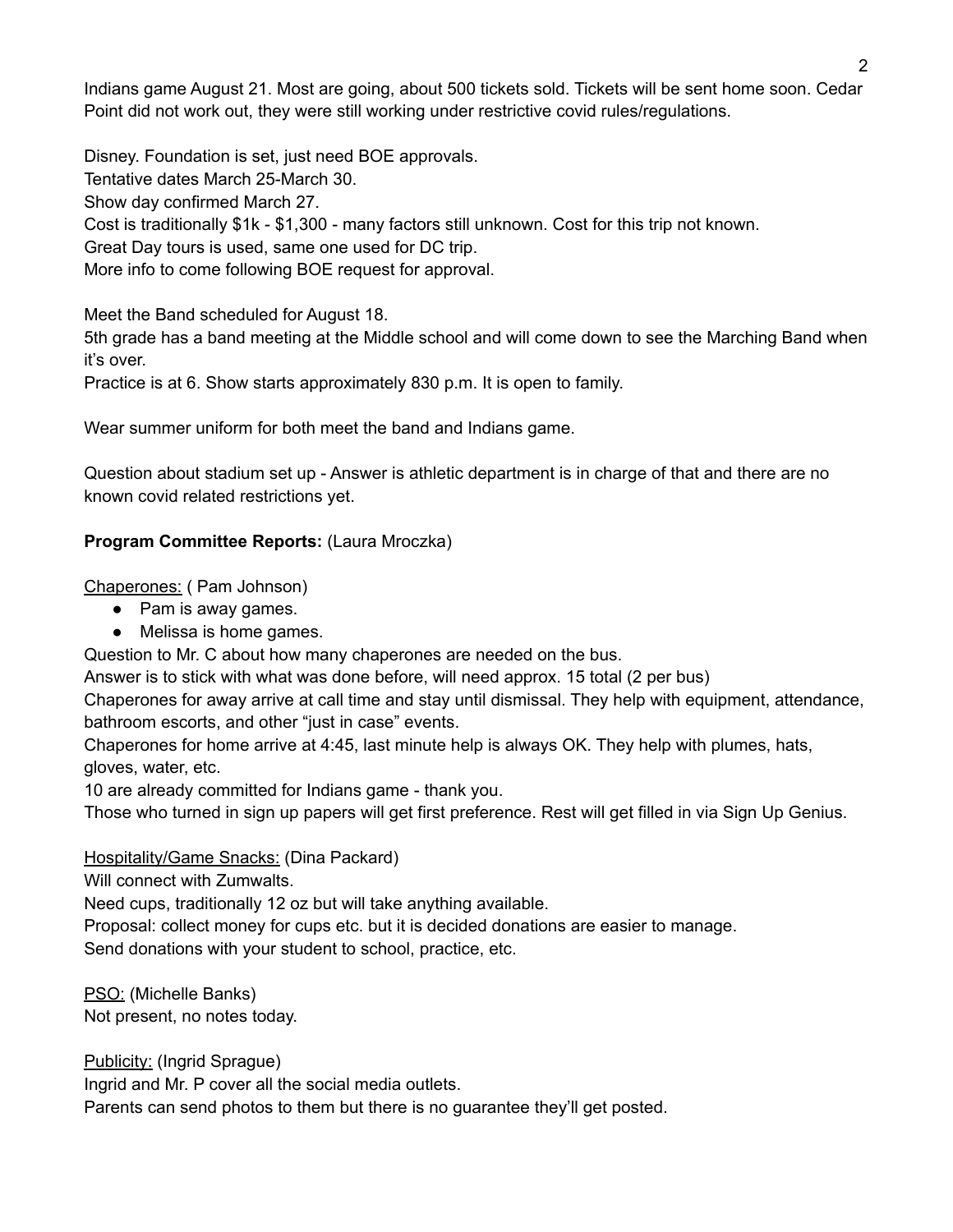Indians game August 21. Most are going, about 500 tickets sold. Tickets will be sent home soon. Cedar Point did not work out, they were still working under restrictive covid rules/regulations.

Disney. Foundation is set, just need BOE approvals. Tentative dates March 25-March 30. Show day confirmed March 27. Cost is traditionally \$1k - \$1,300 - many factors still unknown. Cost for this trip not known. Great Day tours is used, same one used for DC trip. More info to come following BOE request for approval.

Meet the Band scheduled for August 18.

5th grade has a band meeting at the Middle school and will come down to see the Marching Band when it's over.

Practice is at 6. Show starts approximately 830 p.m. It is open to family.

Wear summer uniform for both meet the band and Indians game.

Question about stadium set up - Answer is athletic department is in charge of that and there are no known covid related restrictions yet.

## **Program Committee Reports:** (Laura Mroczka)

Chaperones: ( Pam Johnson)

- Pam is away games.
- Melissa is home games.

Question to Mr. C about how many chaperones are needed on the bus.

Answer is to stick with what was done before, will need approx. 15 total (2 per bus)

Chaperones for away arrive at call time and stay until dismissal. They help with equipment, attendance, bathroom escorts, and other "just in case" events.

Chaperones for home arrive at 4:45, last minute help is always OK. They help with plumes, hats, gloves, water, etc.

10 are already committed for Indians game - thank you.

Those who turned in sign up papers will get first preference. Rest will get filled in via Sign Up Genius.

### Hospitality/Game Snacks: (Dina Packard)

Will connect with Zumwalts.

Need cups, traditionally 12 oz but will take anything available.

Proposal: collect money for cups etc. but it is decided donations are easier to manage.

Send donations with your student to school, practice, etc.

PSO: (Michelle Banks) Not present, no notes today.

Publicity: (Ingrid Sprague)

Ingrid and Mr. P cover all the social media outlets.

Parents can send photos to them but there is no guarantee they'll get posted.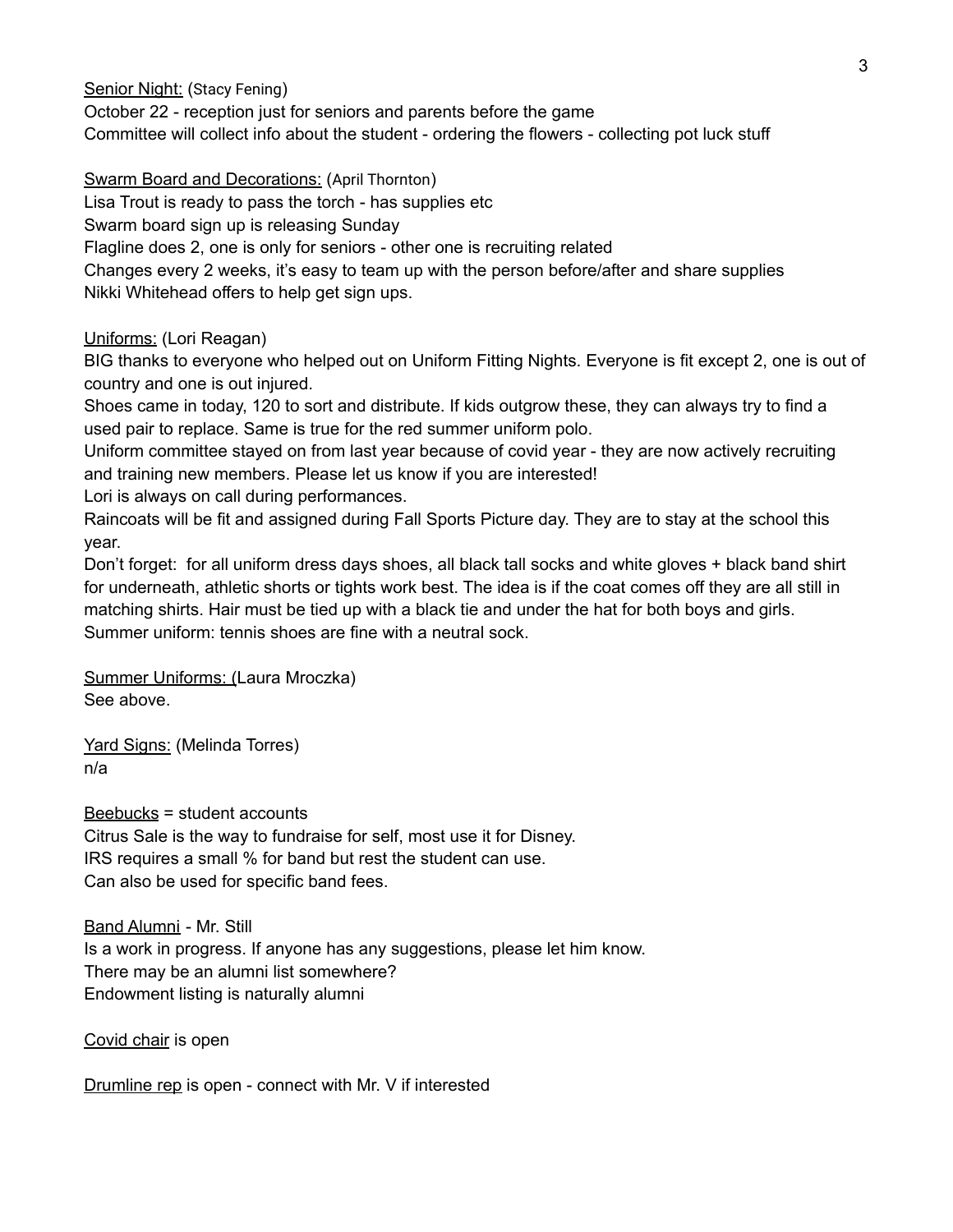Senior Night: (Stacy Fening)

October 22 - reception just for seniors and parents before the game

Committee will collect info about the student - ordering the flowers - collecting pot luck stuff

Swarm Board and Decorations: (April Thornton)

Lisa Trout is ready to pass the torch - has supplies etc

Swarm board sign up is releasing Sunday

Flagline does 2, one is only for seniors - other one is recruiting related

Changes every 2 weeks, it's easy to team up with the person before/after and share supplies Nikki Whitehead offers to help get sign ups.

Uniforms: (Lori Reagan)

BIG thanks to everyone who helped out on Uniform Fitting Nights. Everyone is fit except 2, one is out of country and one is out injured.

Shoes came in today, 120 to sort and distribute. If kids outgrow these, they can always try to find a used pair to replace. Same is true for the red summer uniform polo.

Uniform committee stayed on from last year because of covid year - they are now actively recruiting and training new members. Please let us know if you are interested!

Lori is always on call during performances.

Raincoats will be fit and assigned during Fall Sports Picture day. They are to stay at the school this year.

Don't forget: for all uniform dress days shoes, all black tall socks and white gloves + black band shirt for underneath, athletic shorts or tights work best. The idea is if the coat comes off they are all still in matching shirts. Hair must be tied up with a black tie and under the hat for both boys and girls. Summer uniform: tennis shoes are fine with a neutral sock.

Summer Uniforms: (Laura Mroczka) See above.

Yard Signs: (Melinda Torres) n/a

Beebucks = student accounts Citrus Sale is the way to fundraise for self, most use it for Disney. IRS requires a small % for band but rest the student can use. Can also be used for specific band fees.

Band Alumni - Mr. Still Is a work in progress. If anyone has any suggestions, please let him know. There may be an alumni list somewhere? Endowment listing is naturally alumni

Covid chair is open

Drumline rep is open - connect with Mr. V if interested